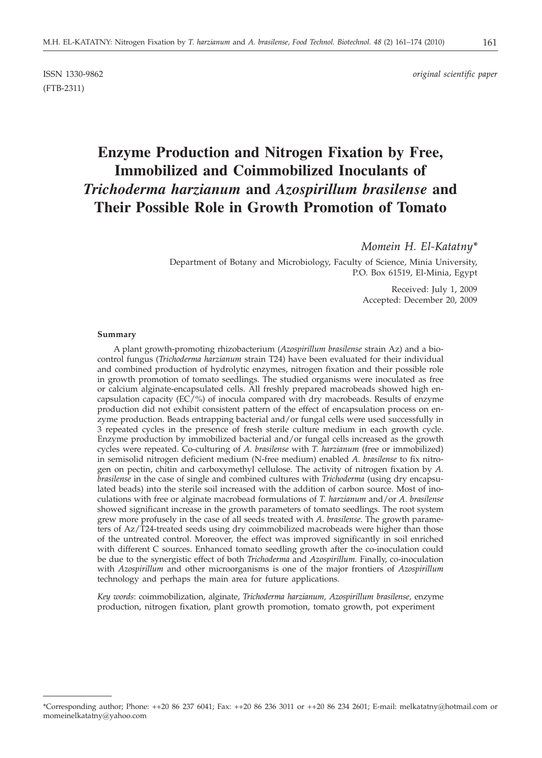ISSN 1330-9862 *original scientific paper*

# **Enzyme Production and Nitrogen Fixation by Free, Immobilized and Coimmobilized Inoculants of** *Trichoderma harzianum* **and** *Azospirillum brasilense* **and Their Possible Role in Growth Promotion of Tomato**

# *Momein H. El-Katatny\**

Department of Botany and Microbiology, Faculty of Science, Minia University, P.O. Box 61519, El-Minia, Egypt

> Received: July 1, 2009 Accepted: December 20, 2009

#### **Summary**

(FTB-2311)

A plant growth-promoting rhizobacterium (*Azospirillum brasilense* strain Az) and a biocontrol fungus (*Trichoderma harzianum* strain T24) have been evaluated for their individual and combined production of hydrolytic enzymes, nitrogen fixation and their possible role in growth promotion of tomato seedlings. The studied organisms were inoculated as free or calcium alginate-encapsulated cells. All freshly prepared macrobeads showed high encapsulation capacity (EC/%) of inocula compared with dry macrobeads. Results of enzyme production did not exhibit consistent pattern of the effect of encapsulation process on enzyme production. Beads entrapping bacterial and/or fungal cells were used successfully in 3 repeated cycles in the presence of fresh sterile culture medium in each growth cycle. Enzyme production by immobilized bacterial and/or fungal cells increased as the growth cycles were repeated. Co-culturing of *A. brasilense* with *T. harzianum* (free or immobilized) in semisolid nitrogen deficient medium (N-free medium) enabled *A. brasilense* to fix nitrogen on pectin, chitin and carboxymethyl cellulose. The activity of nitrogen fixation by *A. brasilense* in the case of single and combined cultures with *Trichoderma* (using dry encapsulated beads) into the sterile soil increased with the addition of carbon source. Most of inoculations with free or alginate macrobead formulations of *T. harzianum* and/or *A*. *brasilense* showed significant increase in the growth parameters of tomato seedlings. The root system grew more profusely in the case of all seeds treated with *A. brasilense*. The growth parameters of Az/T24-treated seeds using dry coimmobilized macrobeads were higher than those of the untreated control. Moreover, the effect was improved significantly in soil enriched with different C sources. Enhanced tomato seedling growth after the co-inoculation could be due to the synergistic effect of both *Trichoderma* and *Azospirillum.* Finally, co-inoculation with *Azospirillum* and other microorganisms is one of the major frontiers of *Azospirillum* technology and perhaps the main area for future applications.

*Key words*: coimmobilization, alginate, *Trichoderma harzianum, Azospirillum brasilense,* enzyme production, nitrogen fixation, plant growth promotion, tomato growth, pot experiment

<sup>\*</sup>Corresponding author; Phone: ++20 86 237 6041; Fax: ++20 86 236 3011 or ++20 86 234 2601; E-mail: melkatatny@hotmail.com or momeinelkatatny@yahoo.com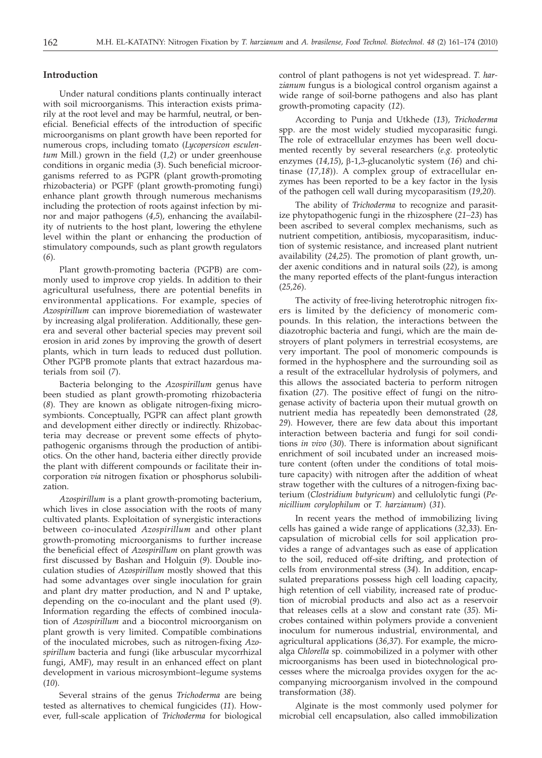## **Introduction**

Under natural conditions plants continually interact with soil microorganisms. This interaction exists primarily at the root level and may be harmful, neutral, or beneficial. Beneficial effects of the introduction of specific microorganisms on plant growth have been reported for numerous crops, including tomato (*Lycopersicon esculentum* Mill.) grown in the field (*1,2*) or under greenhouse conditions in organic media (*3*). Such beneficial microorganisms referred to as PGPR (plant growth-promoting rhizobacteria) or PGPF (plant growth-promoting fungi) enhance plant growth through numerous mechanisms including the protection of roots against infection by minor and major pathogens (*4,5*), enhancing the availability of nutrients to the host plant, lowering the ethylene level within the plant or enhancing the production of stimulatory compounds, such as plant growth regulators (*6*).

Plant growth-promoting bacteria (PGPB) are commonly used to improve crop yields. In addition to their agricultural usefulness, there are potential benefits in environmental applications. For example, species of *Azospirillum* can improve bioremediation of wastewater by increasing algal proliferation. Additionally, these genera and several other bacterial species may prevent soil erosion in arid zones by improving the growth of desert plants, which in turn leads to reduced dust pollution. Other PGPB promote plants that extract hazardous materials from soil (*7*).

Bacteria belonging to the *Azospirillum* genus have been studied as plant growth-promoting rhizobacteria (*8*). They are known as obligate nitrogen-fixing microsymbionts. Conceptually, PGPR can affect plant growth and development either directly or indirectly. Rhizobacteria may decrease or prevent some effects of phytopathogenic organisms through the production of antibiotics. On the other hand, bacteria either directly provide the plant with different compounds or facilitate their incorporation *via* nitrogen fixation or phosphorus solubilization.

*Azospirillum* is a plant growth-promoting bacterium, which lives in close association with the roots of many cultivated plants. Exploitation of synergistic interactions between co-inoculated *Azospirillum* and other plant growth-promoting microorganisms to further increase the beneficial effect of *Azospirillum* on plant growth was first discussed by Bashan and Holguin (*9*). Double inoculation studies of *Azospirillum* mostly showed that this had some advantages over single inoculation for grain and plant dry matter production, and N and P uptake, depending on the co-inoculant and the plant used (*9*). Information regarding the effects of combined inoculation of *Azospirillum* and a biocontrol microorganism on plant growth is very limited. Compatible combinations of the inoculated microbes, such as nitrogen-fixing *Azospirillum* bacteria and fungi (like arbuscular mycorrhizal fungi, AMF), may result in an enhanced effect on plant development in various microsymbiont–legume systems (*10*).

Several strains of the genus *Trichoderma* are being tested as alternatives to chemical fungicides (*11*). However, full-scale application of *Trichoderma* for biological control of plant pathogens is not yet widespread. *T. harzianum* fungus is a biological control organism against a wide range of soil-borne pathogens and also has plant growth-promoting capacity (*12*).

According to Punja and Utkhede (*13*), *Trichoderma* spp. are the most widely studied mycoparasitic fungi. The role of extracellular enzymes has been well documented recently by several researchers (*e.g.* proteolytic enzymes (*14,15*), b-1,3-glucanolytic system (*16*) and chitinase (*17,18*)). A complex group of extracellular enzymes has been reported to be a key factor in the lysis of the pathogen cell wall during mycoparasitism (*19,20*).

The ability of *Trichoderma* to recognize and parasitize phytopathogenic fungi in the rhizosphere (*21–23*) has been ascribed to several complex mechanisms, such as nutrient competition, antibiosis, mycoparasitism, induction of systemic resistance, and increased plant nutrient availability (*24,25*). The promotion of plant growth, under axenic conditions and in natural soils (*22*), is among the many reported effects of the plant-fungus interaction (*25,26*).

The activity of free-living heterotrophic nitrogen fixers is limited by the deficiency of monomeric compounds. In this relation, the interactions between the diazotrophic bacteria and fungi, which are the main destroyers of plant polymers in terrestrial ecosystems, are very important. The pool of monomeric compounds is formed in the hyphosphere and the surrounding soil as a result of the extracellular hydrolysis of polymers, and this allows the associated bacteria to perform nitrogen fixation (*27*). The positive effect of fungi on the nitrogenase activity of bacteria upon their mutual growth on nutrient media has repeatedly been demonstrated (*28, 29*). However, there are few data about this important interaction between bacteria and fungi for soil conditions *in vivo* (*30*). There is information about significant enrichment of soil incubated under an increased moisture content (often under the conditions of total moisture capacity) with nitrogen after the addition of wheat straw together with the cultures of a nitrogen-fixing bacterium (*Clostridium butyricum*) and cellulolytic fungi (*Penicillium corylophilum* or *T. harzianum*) (*31*).

In recent years the method of immobilizing living cells has gained a wide range of applications (*32,33*). Encapsulation of microbial cells for soil application provides a range of advantages such as ease of application to the soil, reduced off-site drifting, and protection of cells from environmental stress (*34*). In addition, encapsulated preparations possess high cell loading capacity, high retention of cell viability, increased rate of production of microbial products and also act as a reservoir that releases cells at a slow and constant rate (*35*). Microbes contained within polymers provide a convenient inoculum for numerous industrial, environmental, and agricultural applications (*36,37*). For example, the microalga *Chlorella* sp. coimmobilized in a polymer with other microorganisms has been used in biotechnological processes where the microalga provides oxygen for the accompanying microorganism involved in the compound transformation (*38*).

Alginate is the most commonly used polymer for microbial cell encapsulation, also called immobilization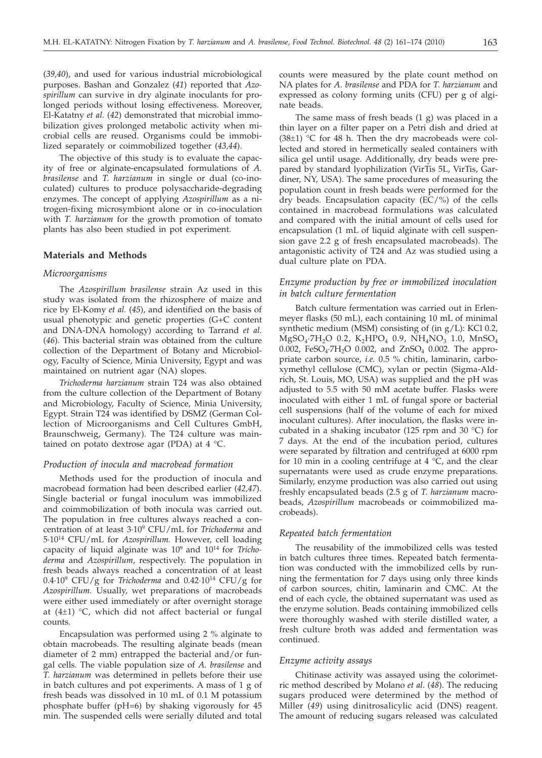(*39,40*), and used for various industrial microbiological purposes. Bashan and Gonzalez (*41*) reported that *Azospirillum* can survive in dry alginate inoculants for prolonged periods without losing effectiveness. Moreover, El-Katatny *et al.* (*42*) demonstrated that microbial immobilization gives prolonged metabolic activity when microbial cells are reused. Organisms could be immobilized separately or coimmobilized together (*43,44*).

The objective of this study is to evaluate the capacity of free or alginate-encapsulated formulations of *A. brasilense* and *T. harzianum* in single or dual (co-inoculated) cultures to produce polysaccharide-degrading enzymes. The concept of applying *Azospirillum* as a nitrogen-fixing microsymbiont alone or in co-inoculation with *T. harzianum* for the growth promotion of tomato plants has also been studied in pot experiment.

## **Materials and Methods**

## *Microorganisms*

The *Azospirillum brasilense* strain Az used in this study was isolated from the rhizosphere of maize and rice by El-Komy *et al.* (*45*), and identified on the basis of usual phenotypic and genetic properties (G+C content and DNA-DNA homology) according to Tarrand *et al.* (*46*). This bacterial strain was obtained from the culture collection of the Department of Botany and Microbiology, Faculty of Science, Minia University, Egypt and was maintained on nutrient agar (NA) slopes.

*Trichoderma harzianum* strain T24 was also obtained from the culture collection of the Department of Botany and Microbiology, Faculty of Science, Minia University, Egypt. Strain T24 was identified by DSMZ (German Collection of Microorganisms and Cell Cultures GmbH, Braunschweig, Germany). The T24 culture was maintained on potato dextrose agar (PDA) at 4 °C.

#### *Production of inocula and macrobead formation*

Methods used for the production of inocula and macrobead formation had been described earlier (*42,47*). Single bacterial or fungal inoculum was immobilized and coimmobilization of both inocula was carried out. The population in free cultures always reached a concentration of at least 3·109 CFU/mL for *Trichoderma* and 5·1014 CFU/mL for *Azospirillum.* However, cell loading capacity of liquid alginate was 109 and 1014 for *Trichoderma* and *Azospirillum*, respectively. The population in fresh beads always reached a concentration of at least  $0.4\cdot10^9$  CFU/g for *Trichoderma* and  $0.42\cdot10^{14}$  CFU/g for *Azospirillum.* Usually, wet preparations of macrobeads were either used immediately or after overnight storage at (4±1) °C, which did not affect bacterial or fungal counts.

Encapsulation was performed using 2 % alginate to obtain macrobeads. The resulting alginate beads (mean diameter of 2 mm) entrapped the bacterial and/or fungal cells. The viable population size of *A. brasilense* and *T. harzianum* was determined in pellets before their use in batch cultures and pot experiments. A mass of 1 g of fresh beads was dissolved in 10 mL of 0.1 M potassium phosphate buffer (pH=6) by shaking vigorously for 45 min. The suspended cells were serially diluted and total

counts were measured by the plate count method on NA plates for *A. brasilense* and PDA for *T. harzianum* and expressed as colony forming units (CFU) per g of alginate beads.

The same mass of fresh beads (1 g) was placed in a thin layer on a filter paper on a Petri dish and dried at  $(38±1)$  °C for 48 h. Then the dry macrobeads were collected and stored in hermetically sealed containers with silica gel until usage. Additionally, dry beads were prepared by standard lyophilization (VirTis 5L, VirTis, Gardiner, NY, USA). The same procedures of measuring the population count in fresh beads were performed for the dry beads. Encapsulation capacity (EC/%) of the cells contained in macrobead formulations was calculated and compared with the initial amount of cells used for encapsulation (1 mL of liquid alginate with cell suspension gave 2.2 g of fresh encapsulated macrobeads). The antagonistic activity of T24 and Az was studied using a dual culture plate on PDA.

# *Enzyme production by free or immobilized inoculation in batch culture fermentation*

Batch culture fermentation was carried out in Erlenmeyer flasks (50 mL), each containing 10 mL of minimal synthetic medium (MSM) consisting of (in  $g/L$ ): KCl 0.2,  $MgSO_4·7H_2O$  0.2,  $K_2HPO_4$  0.9,  $NH_4NO_3$  1.0,  $MnSO_4$ 0.002, FeSO<sub>4</sub>·7H<sub>2</sub>O 0.002, and ZnSO<sub>4</sub> 0.002. The appropriate carbon source, *i.e.* 0.5 % chitin, laminarin, carboxymethyl cellulose (CMC), xylan or pectin (Sigma-Aldrich, St. Louis, MO, USA) was supplied and the pH was adjusted to 5.5 with 50 mM acetate buffer. Flasks were inoculated with either 1 mL of fungal spore or bacterial cell suspensions (half of the volume of each for mixed inoculant cultures). After inoculation, the flasks were incubated in a shaking incubator (125 rpm and 30 °C) for 7 days. At the end of the incubation period, cultures were separated by filtration and centrifuged at 6000 rpm for 10 min in a cooling centrifuge at 4 °C, and the clear supernatants were used as crude enzyme preparations. Similarly, enzyme production was also carried out using freshly encapsulated beads (2.5 g of *T. harzianum* macrobeads, *Azospirillum* macrobeads or coimmobilized macrobeads).

#### *Repeated batch fermentation*

The reusability of the immobilized cells was tested in batch cultures three times. Repeated batch fermentation was conducted with the immobilized cells by running the fermentation for 7 days using only three kinds of carbon sources, chitin, laminarin and CMC. At the end of each cycle, the obtained supernatant was used as the enzyme solution. Beads containing immobilized cells were thoroughly washed with sterile distilled water, a fresh culture broth was added and fermentation was continued.

## *Enzyme activity assays*

Chitinase activity was assayed using the colorimetric method described by Molano *et al*. (*48*). The reducing sugars produced were determined by the method of Miller (*49*) using dinitrosalicylic acid (DNS) reagent. The amount of reducing sugars released was calculated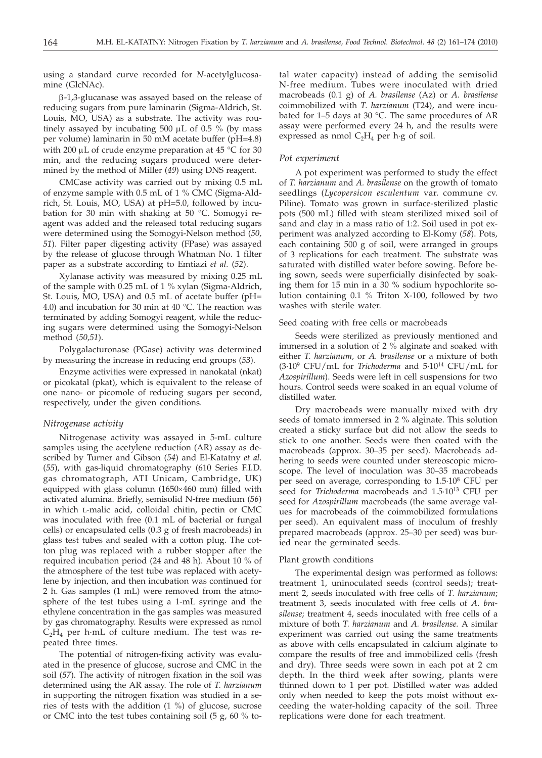using a standard curve recorded for *N*-acetylglucosamine (GlcNAc).

 $\beta$ -1,3-glucanase was assayed based on the release of reducing sugars from pure laminarin (Sigma-Aldrich, St. Louis, MO, USA) as a substrate. The activity was routinely assayed by incubating 500  $\mu$ L of 0.5 % (by mass per volume) laminarin in 50 mM acetate buffer (pH=4.8) with 200  $\mu$ L of crude enzyme preparation at 45 °C for 30 min, and the reducing sugars produced were determined by the method of Miller (*49*) using DNS reagent.

CMCase activity was carried out by mixing 0.5 mL of enzyme sample with 0.5 mL of 1 % CMC (Sigma-Aldrich, St. Louis, MO, USA) at pH=5.0, followed by incubation for 30 min with shaking at 50 °C. Somogyi reagent was added and the released total reducing sugars were determined using the Somogyi-Nelson method (*50, 51*). Filter paper digesting activity (FPase) was assayed by the release of glucose through Whatman No. 1 filter paper as a substrate according to Emtiazi *et al.* (*52*).

Xylanase activity was measured by mixing 0.25 mL of the sample with 0.25 mL of 1 % xylan (Sigma-Aldrich, St. Louis, MO, USA) and 0.5 mL of acetate buffer (pH= 4.0) and incubation for 30 min at 40 °C. The reaction was terminated by adding Somogyi reagent, while the reducing sugars were determined using the Somogyi-Nelson method (*50,51*).

Polygalacturonase (PGase) activity was determined by measuring the increase in reducing end groups (*53*).

Enzyme activities were expressed in nanokatal (nkat) or picokatal (pkat), which is equivalent to the release of one nano- or picomole of reducing sugars per second, respectively, under the given conditions.

## *Nitrogenase activity*

Nitrogenase activity was assayed in 5-mL culture samples using the acetylene reduction (AR) assay as described by Turner and Gibson (*54*) and El-Katatny *et al.* (*55*), with gas-liquid chromatography (610 Series F.I.D. gas chromatograph, ATI Unicam, Cambridge, UK) equipped with glass column ( $1650\times460$  mm) filled with activated alumina. Briefly, semisolid N-free medium (*56*) in which L-malic acid, colloidal chitin, pectin or CMC was inoculated with free (0.1 mL of bacterial or fungal cells) or encapsulated cells (0.3 g of fresh macrobeads) in glass test tubes and sealed with a cotton plug. The cotton plug was replaced with a rubber stopper after the required incubation period (24 and 48 h). About 10 % of the atmosphere of the test tube was replaced with acetylene by injection, and then incubation was continued for 2 h. Gas samples (1 mL) were removed from the atmosphere of the test tubes using a 1-mL syringe and the ethylene concentration in the gas samples was measured by gas chromatography. Results were expressed as nmol  $C_2H_4$  per h·mL of culture medium. The test was repeated three times.

The potential of nitrogen-fixing activity was evaluated in the presence of glucose, sucrose and CMC in the soil (*57*). The activity of nitrogen fixation in the soil was determined using the AR assay. The role of *T. harzianum* in supporting the nitrogen fixation was studied in a series of tests with the addition (1 %) of glucose, sucrose or CMC into the test tubes containing soil (5 g, 60 % total water capacity) instead of adding the semisolid N-free medium. Tubes were inoculated with dried macrobeads (0.1 g) of *A. brasilense* (Az) or *A. brasilense* coimmobilized with *T. harzianum* (T24), and were incubated for 1–5 days at 30 °C. The same procedures of AR assay were performed every 24 h, and the results were expressed as nmol  $C_2H_4$  per h·g of soil.

#### *Pot experiment*

A pot experiment was performed to study the effect of *T. harzianum* and *A. brasilense* on the growth of tomato seedlings (*Lycopersicon esculentum* var. commune cv. Piline). Tomato was grown in surface-sterilized plastic pots (500 mL) filled with steam sterilized mixed soil of sand and clay in a mass ratio of 1:2. Soil used in pot experiment was analyzed according to El-Komy (*58*). Pots, each containing 500 g of soil, were arranged in groups of 3 replications for each treatment. The substrate was saturated with distilled water before sowing. Before being sown, seeds were superficially disinfected by soaking them for 15 min in a 30 % sodium hypochlorite solution containing 0.1 % Triton X-100, followed by two washes with sterile water.

#### Seed coating with free cells or macrobeads

Seeds were sterilized as previously mentioned and immersed in a solution of 2 % alginate and soaked with either *T. harzianum,* or *A. brasilense* or a mixture of both (3·109 CFU/mL for *Trichoderma* and 5·1014 CFU/mL for *Azospirillum*). Seeds were left in cell suspensions for two hours. Control seeds were soaked in an equal volume of distilled water.

Dry macrobeads were manually mixed with dry seeds of tomato immersed in 2 % alginate. This solution created a sticky surface but did not allow the seeds to stick to one another. Seeds were then coated with the macrobeads (approx. 30–35 per seed). Macrobeads adhering to seeds were counted under stereoscopic microscope. The level of inoculation was 30–35 macrobeads per seed on average, corresponding to 1.5·108 CFU per seed for *Trichoderma* macrobeads and 1.5·1013 CFU per seed for *Azospirillum* macrobeads (the same average values for macrobeads of the coimmobilized formulations per seed). An equivalent mass of inoculum of freshly prepared macrobeads (approx. 25–30 per seed) was buried near the germinated seeds.

#### Plant growth conditions

The experimental design was performed as follows: treatment 1, uninoculated seeds (control seeds); treatment 2, seeds inoculated with free cells of *T. harzianum*; treatment 3, seeds inoculated with free cells of *A. brasilense*; treatment 4, seeds inoculated with free cells of a mixture of both *T. harzianum* and *A. brasilense.* A similar experiment was carried out using the same treatments as above with cells encapsulated in calcium alginate to compare the results of free and immobilized cells (fresh and dry). Three seeds were sown in each pot at 2 cm depth. In the third week after sowing, plants were thinned down to 1 per pot. Distilled water was added only when needed to keep the pots moist without exceeding the water-holding capacity of the soil. Three replications were done for each treatment.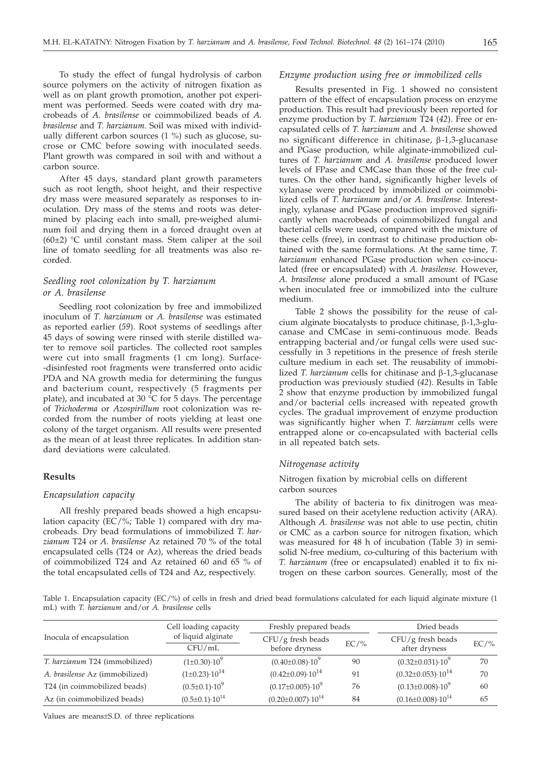To study the effect of fungal hydrolysis of carbon source polymers on the activity of nitrogen fixation as well as on plant growth promotion, another pot experiment was performed. Seeds were coated with dry macrobeads of *A. brasilense* or coimmobilized beads of *A. brasilense* and *T. harzianum.* Soil was mixed with individually different carbon sources (1 %) such as glucose, sucrose or CMC before sowing with inoculated seeds. Plant growth was compared in soil with and without a carbon source.

After 45 days, standard plant growth parameters such as root length, shoot height, and their respective dry mass were measured separately as responses to inoculation. Dry mass of the stems and roots was determined by placing each into small, pre-weighed aluminum foil and drying them in a forced draught oven at  $(60±2)$  °C until constant mass. Stem caliper at the soil line of tomato seedling for all treatments was also recorded.

# *Seedling root colonization by T. harzianum or A. brasilense*

Seedling root colonization by free and immobilized inoculum of *T. harzianum* or *A. brasilense* was estimated as reported earlier (*59*). Root systems of seedlings after 45 days of sowing were rinsed with sterile distilled water to remove soil particles. The collected root samples were cut into small fragments (1 cm long). Surface- -disinfested root fragments were transferred onto acidic PDA and NA growth media for determining the fungus and bacterium count, respectively (5 fragments per plate), and incubated at 30  $\degree$ C for 5 days. The percentage of *Trichoderma* or *Azospirillum* root colonization was recorded from the number of roots yielding at least one colony of the target organism. All results were presented as the mean of at least three replicates. In addition standard deviations were calculated.

#### **Results**

## *Encapsulation capacity*

All freshly prepared beads showed a high encapsulation capacity  $\overline{(EC/%)}$ ; Table 1) compared with dry macrobeads. Dry bead formulations of immobilized *T. harzianum* T24 or *A. brasilense* Az retained 70 % of the total encapsulated cells (T24 or Az), whereas the dried beads of coimmobilized T24 and Az retained 60 and 65 % of the total encapsulated cells of T24 and Az, respectively.

#### *Enzyme production using free or immobilized cells*

Results presented in Fig. 1 showed no consistent pattern of the effect of encapsulation process on enzyme production. This result had previously been reported for enzyme production by *T. harzianum* T24 (*42*). Free or encapsulated cells of *T. harzianum* and *A. brasilense* showed no significant difference in chitinase,  $\beta$ -1,3-glucanase and PGase production, while alginate-immobilized cultures of *T. harzianum* and *A. brasilense* produced lower levels of FPase and CMCase than those of the free cultures. On the other hand, significantly higher levels of xylanase were produced by immobilized or coimmobilized cells of *T. harzianum* and/or *A. brasilense.* Interestingly, xylanase and PGase production improved significantly when macrobeads of coimmobilized fungal and bacterial cells were used, compared with the mixture of these cells (free), in contrast to chitinase production obtained with the same formulations. At the same time, *T. harzianum* enhanced PGase production when co-inoculated (free or encapsulated) with *A. brasilense.* However, *A. brasilense* alone produced a small amount of PGase when inoculated free or immobilized into the culture medium.

Table 2 shows the possibility for the reuse of calcium alginate biocatalysts to produce chitinase,  $\beta$ -1,3-glucanase and CMCase in semi-continuous mode. Beads entrapping bacterial and/or fungal cells were used successfully in 3 repetitions in the presence of fresh sterile culture medium in each set. The reusability of immobilized *T. harzianum* cells for chitinase and β-1,3-glucanase production was previously studied (*42*). Results in Table 2 show that enzyme production by immobilized fungal and/or bacterial cells increased with repeated growth cycles. The gradual improvement of enzyme production was significantly higher when *T. harzianum* cells were entrapped alone or co-encapsulated with bacterial cells in all repeated batch sets.

## *Nitrogenase activity*

# Nitrogen fixation by microbial cells on different carbon sources

The ability of bacteria to fix dinitrogen was measured based on their acetylene reduction activity (ARA). Although *A. brasilense* was not able to use pectin, chitin or CMC as a carbon source for nitrogen fixation, which was measured for 48 h of incubation (Table 3) in semisolid N-free medium, co-culturing of this bacterium with *T. harzianum* (free or encapsulated) enabled it to fix nitrogen on these carbon sources. Generally, most of the

Table 1. Encapsulation capacity (EC/%) of cells in fresh and dried bead formulations calculated for each liquid alginate mixture (1 mL) with *T. harzianum* and/or *A. brasilense* cells

|                                | Cell loading capacity        | Freshly prepared beads                |         | Dried beads                          |         |  |
|--------------------------------|------------------------------|---------------------------------------|---------|--------------------------------------|---------|--|
| Inocula of encapsulation       | of liquid alginate<br>CFU/mL | $CFU/g$ fresh beads<br>before dryness | $EC/$ % | $CFU/g$ fresh beads<br>after dryness | $EC/$ % |  |
| T. harzianum T24 (immobilized) | $(1\pm0.30)\cdot10^{9}$      | $(0.40\pm0.08)\cdot10^9$              | 90      | $(0.32 \pm 0.031) \cdot 10^9$        | 70      |  |
| A. brasilense Az (immobilized) | $(1\pm0.23)\cdot10^{14}$     | $(0.42 \pm 0.09) \cdot 10^{14}$       | 91      | $(0.32 \pm 0.053) \cdot 10^{14}$     | 70      |  |
| T24 (in coimmobilized beads)   | $(0.5\pm0.1)\cdot10^9$       | $(0.17\pm0.005)\cdot10^{9}$           | 76      | $(0.13\pm0.008)\cdot10^{9}$          | 60      |  |
| Az (in coimmobilized beads)    | $(0.5\pm0.1)\cdot10^{14}$    | $(0.20 \pm 0.007) \cdot 10^{14}$      | 84      | $(0.16 \pm 0.008) \cdot 10^{14}$     | 65      |  |

Values are means±S.D. of three replications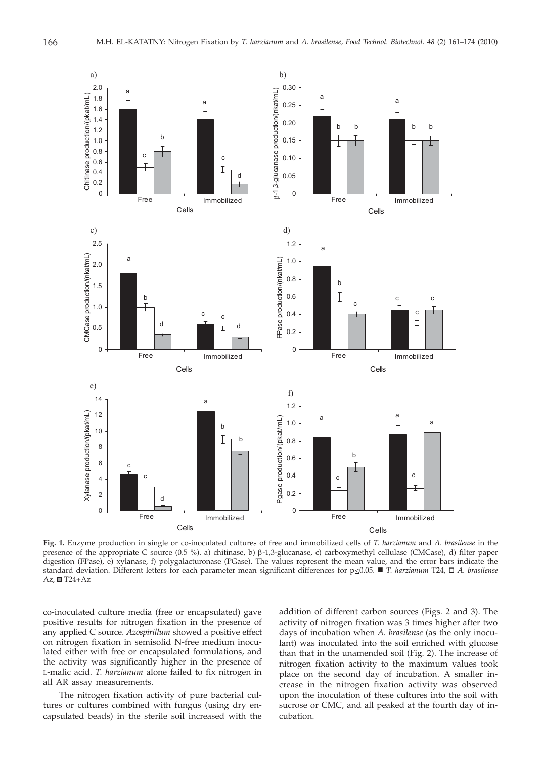

**Fig. 1.** Enzyme production in single or co-inoculated cultures of free and immobilized cells of *T. harzianum* and *A. brasilense* in the presence of the appropriate C source (0.5 %). a) chitinase, b)  $\beta$ -1,3-glucanase, c) carboxymethyl cellulase (CMCase), d) filter paper digestion (FPase), e) xylanase, f) polygalacturonase (PGase). The values represent the mean value, and the error bars indicate the standard deviation. Different letters for each parameter mean significant differences for p≤0.05. ■ T. harzianum T24, □ A. brasilense  $Az, \blacksquare T24+Az$ 

co-inoculated culture media (free or encapsulated) gave positive results for nitrogen fixation in the presence of any applied C source. *Azospirillum* showed a positive effect on nitrogen fixation in semisolid N-free medium inoculated either with free or encapsulated formulations, and the activity was significantly higher in the presence of L-malic acid. *T. harzianum* alone failed to fix nitrogen in all AR assay measurements.

The nitrogen fixation activity of pure bacterial cultures or cultures combined with fungus (using dry encapsulated beads) in the sterile soil increased with the addition of different carbon sources (Figs. 2 and 3). The activity of nitrogen fixation was 3 times higher after two days of incubation when *A. brasilense* (as the only inoculant) was inoculated into the soil enriched with glucose than that in the unamended soil (Fig. 2). The increase of nitrogen fixation activity to the maximum values took place on the second day of incubation. A smaller increase in the nitrogen fixation activity was observed upon the inoculation of these cultures into the soil with sucrose or CMC, and all peaked at the fourth day of incubation.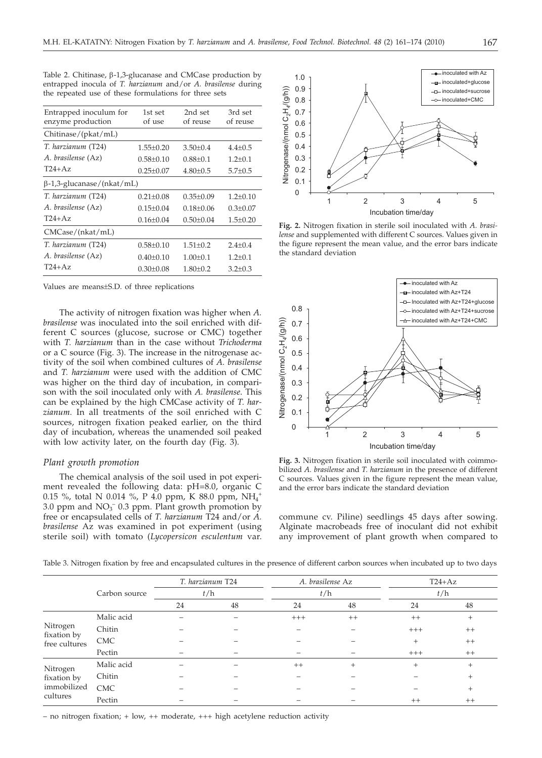| ۰.                     |   |
|------------------------|---|
| ٠<br>I<br>×<br>۰<br>۰, | × |

| Entrapped inoculum for<br>enzyme production | 1st set<br>of use | 2nd set<br>of reuse | 3rd set<br>of reuse |
|---------------------------------------------|-------------------|---------------------|---------------------|
| Chitinase/(pkat/mL)                         |                   |                     |                     |
| T. harzianum (T24)                          | $1.55 + 0.20$     | $3.50+0.4$          | $4.4 + 0.5$         |
| A. brasilense (Az)                          | $0.58 + 0.10$     | $0.88 + 0.1$        | $1.2 + 0.1$         |
| $T24+Az$                                    | $0.25 \pm 0.07$   | $4.80 \pm 0.5$      | $5.7 \pm 0.5$       |
| $\beta$ -1,3-glucanase/(nkat/mL)            |                   |                     |                     |
| T. harzianum (T24)                          | $0.21 + 0.08$     | $0.35 + 0.09$       | $1.2 + 0.10$        |
| A. brasilense (Az)                          | $0.15 + 0.04$     | $0.18 + 0.06$       | $0.3 + 0.07$        |
| $T24+Az$                                    | $0.16 \pm 0.04$   | $0.50 \pm 0.04$     | $1.5 \pm 0.20$      |
| CMCase/(nkat/mL)                            |                   |                     |                     |
| T. harzianum (T24)                          | $0.58 + 0.10$     | $1.51 + 0.2$        | $2.4 + 0.4$         |
| A. brasilense (Az)                          | $0.40 + 0.10$     | $1.00 \pm 0.1$      | $1.2 + 0.1$         |
| $T24+Az$                                    | $0.30 + 0.08$     | $1.80 + 0.2$        | $3.2 + 0.3$         |

Table 2. Chitinase,  $\beta$ -1,3-glucanase and CMCase production by entrapped inocula of *T. harzianum* and/or *A. brasilense* during the repeated use of these formulations for three sets

Values are means±S.D. of three replications

The activity of nitrogen fixation was higher when *A. brasilense* was inoculated into the soil enriched with different C sources (glucose, sucrose or CMC) together with *T. harzianum* than in the case without *Trichoderma* or a C source (Fig. 3). The increase in the nitrogenase activity of the soil when combined cultures of *A. brasilense* and *T. harzianum* were used with the addition of CMC was higher on the third day of incubation, in comparison with the soil inoculated only with *A. brasilense*. This can be explained by the high CMCase activity of *T. harzianum.* In all treatments of the soil enriched with C sources, nitrogen fixation peaked earlier, on the third day of incubation, whereas the unamended soil peaked with low activity later, on the fourth day (Fig. 3).

# *Plant growth promotion*

The chemical analysis of the soil used in pot experiment revealed the following data: pH=8.0, organic C  $0.15$  %, total N 0.014 %, P 4.0 ppm, K 88.0 ppm,  $NH_4^+$ 3.0 ppm and  $NO<sub>3</sub><sup>-</sup> 0.3$  ppm. Plant growth promotion by free or encapsulated cells of *T. harzianum* T24 and/or *A. brasilense* Az was examined in pot experiment (using sterile soil) with tomato (*Lycopersicon esculentum* var.



**Fig. 2.** Nitrogen fixation in sterile soil inoculated with *A. brasilense* and supplemented with different C sources. Values given in the figure represent the mean value, and the error bars indicate the standard deviation



**Fig. 3.** Nitrogen fixation in sterile soil inoculated with coimmobilized *A. brasilense* and *T. harzianum* in the presence of different C sources. Values given in the figure represent the mean value, and the error bars indicate the standard deviation

commune cv. Piline) seedlings 45 days after sowing. Alginate macrobeads free of inoculant did not exhibit any improvement of plant growth when compared to

Table 3. Nitrogen fixation by free and encapsulated cultures in the presence of different carbon sources when incubated up to two days

|                                          |               |    | T. harzianum T24 | A. brasilense Az |      | $T24+Az$ |         |
|------------------------------------------|---------------|----|------------------|------------------|------|----------|---------|
|                                          | Carbon source |    | t/h              | t/h              |      | t/h      |         |
|                                          |               | 24 | 48               | 24               | 48   | 24       | 48      |
|                                          | Malic acid    |    |                  | $+++$            | $++$ | $++$     | $^{+}$  |
| Nitrogen<br>fixation by<br>free cultures | Chitin        |    |                  | -                |      | $+++$    | $^{++}$ |
|                                          | <b>CMC</b>    |    |                  |                  |      | $^{+}$   | $^{++}$ |
|                                          | Pectin        |    |                  |                  |      | $+++$    | $^{++}$ |
| Nitrogen                                 | Malic acid    |    |                  | $++$             | $+$  | $^{+}$   | $^{+}$  |
| fixation by<br>immobilized<br>cultures   | Chitin        |    |                  |                  |      |          | $^{+}$  |
|                                          | <b>CMC</b>    |    |                  |                  |      |          | $^{+}$  |
|                                          | Pectin        |    |                  |                  |      | $++$     | $^{++}$ |

– no nitrogen fixation; + low, ++ moderate, +++ high acetylene reduction activity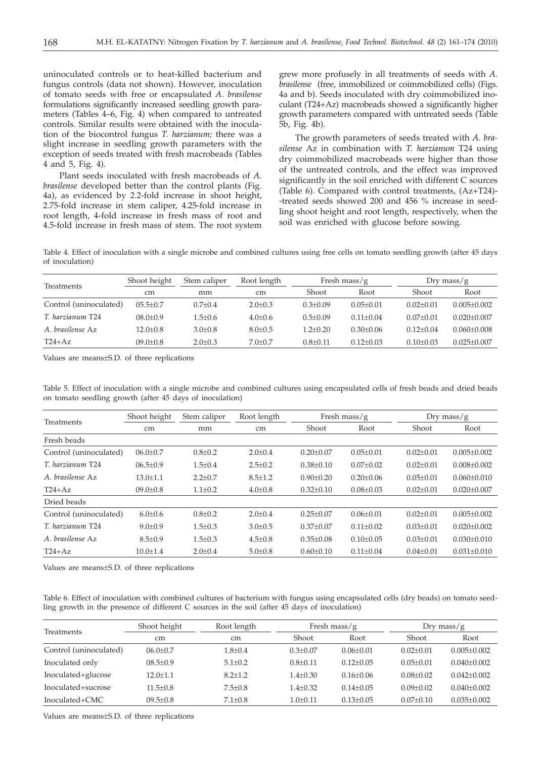uninoculated controls or to heat-killed bacterium and fungus controls (data not shown). However, inoculation of tomato seeds with free or encapsulated *A*. *brasilense* formulations significantly increased seedling growth parameters (Tables 4–6, Fig. 4) when compared to untreated controls. Similar results were obtained with the inoculation of the biocontrol fungus *T. harzianum;* there was a slight increase in seedling growth parameters with the exception of seeds treated with fresh macrobeads (Tables 4 and 5, Fig. 4).

Plant seeds inoculated with fresh macrobeads of *A. brasilense* developed better than the control plants (Fig. 4a), as evidenced by 2.2-fold increase in shoot height, 2.75-fold increase in stem caliper, 4.25-fold increase in root length, 4-fold increase in fresh mass of root and 4.5-fold increase in fresh mass of stem. The root system

grew more profusely in all treatments of seeds with *A. brasilense* (free, immobilized or coimmobilized cells) (Figs. 4a and b). Seeds inoculated with dry coimmobilized inoculant (T24+Az) macrobeads showed a significantly higher growth parameters compared with untreated seeds (Table 5b, Fig. 4b).

The growth parameters of seeds treated with *A. brasilense* Az in combination with *T. harzianum* T24 using dry coimmobilized macrobeads were higher than those of the untreated controls, and the effect was improved significantly in the soil enriched with different C sources (Table 6). Compared with control treatments, (Az+T24)- -treated seeds showed 200 and 456 % increase in seedling shoot height and root length, respectively, when the soil was enriched with glucose before sowing.

Table 4. Effect of inoculation with a single microbe and combined cultures using free cells on tomato seedling growth (after 45 days of inoculation)

| <b>Treatments</b>      | Shoot height  | Stem caliper  | Root length   | Fresh mass/ $g$ |               | $Drv$ mass/g    |                 |
|------------------------|---------------|---------------|---------------|-----------------|---------------|-----------------|-----------------|
|                        | <sub>cm</sub> | mm            | cm            | Shoot           | Root          | Shoot           | Root            |
| Control (uninoculated) | $05.5 + 0.7$  | $0.7 \pm 0.4$ | $2.0 \pm 0.3$ | $0.3 + 0.09$    | $0.05 + 0.01$ | $0.02 \pm 0.01$ | $0.005 + 0.002$ |
| T. harzianum T24       | $08.0 + 0.9$  | $1.5 \pm 0.6$ | $4.0 \pm 0.6$ | $0.5+0.09$      | $0.11 + 0.04$ | $0.07+0.01$     | $0.020 + 0.007$ |
| A brasilense Az        | $12.0 + 0.8$  | $3.0 + 0.8$   | $8.0 \pm 0.5$ | $1.2 + 0.20$    | $0.30 + 0.06$ | $0.12 + 0.04$   | $0.060 + 0.008$ |
| $T24+Az$               | $09.0 + 0.8$  | $2.0 \pm 0.3$ | $7.0+0.7$     | $0.8 + 0.11$    | $0.12 + 0.03$ | $0.10 + 0.03$   | $0.025 + 0.007$ |

Values are means±S.D. of three replications

Table 5. Effect of inoculation with a single microbe and combined cultures using encapsulated cells of fresh beads and dried beads on tomato seedling growth (after 45 days of inoculation)

|                              | Shoot height   | Stem caliper  | Root length   |                 | Fresh mass/ $g$ |                 | Dry mass/ $g$     |
|------------------------------|----------------|---------------|---------------|-----------------|-----------------|-----------------|-------------------|
| <b>Treatments</b>            | cm             | mm            | cm            | Shoot           | Root            | Shoot           | Root              |
| Fresh beads                  |                |               |               |                 |                 |                 |                   |
| Control (uninoculated)       | $06.0 \pm 0.7$ | $0.8 \pm 0.2$ | $2.0 \pm 0.4$ | $0.20 + 0.07$   | $0.05 \pm 0.01$ | $0.02 \pm 0.01$ | $0.005 + 0.002$   |
| T. harzianum T24             | $06.5 \pm 0.9$ | $1.5 \pm 0.4$ | $2.5 \pm 0.2$ | $0.38 \pm 0.10$ | $0.07 \pm 0.02$ | $0.02 \pm 0.01$ | $0.008 + 0.002$   |
| A <i>brasilense</i> Az       | $13.0 + 1.1$   | $2.2+0.7$     | $8.5 \pm 1.2$ | $0.90 + 0.20$   | $0.20 + 0.06$   | $0.05 \pm 0.01$ | $0.060 + 0.010$   |
| $T24+Az$                     | $09.0 \pm 0.8$ | $1.1 \pm 0.2$ | $4.0 \pm 0.8$ | $0.32 \pm 0.10$ | $0.08 \pm 0.03$ | $0.02 \pm 0.01$ | $0.020 \pm 0.007$ |
| Dried beads                  |                |               |               |                 |                 |                 |                   |
| Control (uninoculated)       | $6.0 \pm 0.6$  | $0.8{\pm}0.2$ | $2.0 + 0.4$   | $0.25 + 0.07$   | $0.06 \pm 0.01$ | $0.02 + 0.01$   | $0.005 + 0.002$   |
| T. harzianum T <sub>24</sub> | $9.0 + 0.9$    | $1.5 \pm 0.3$ | $3.0 \pm 0.5$ | $0.37+0.07$     | $0.11 \pm 0.02$ | $0.03 \pm 0.01$ | $0.020 + 0.002$   |
| A. brasilense Az             | $8.5 + 0.9$    | $1.5 \pm 0.3$ | $4.5 \pm 0.8$ | $0.35 \pm 0.08$ | $0.10 \pm 0.05$ | $0.03 \pm 0.01$ | $0.030 \pm 0.010$ |
| $T24+Az$                     | $10.0 \pm 1.4$ | $2.0 \pm 0.4$ | $5.0 \pm 0.8$ | $0.60 \pm 0.10$ | $0.11 \pm 0.04$ | $0.04 \pm 0.01$ | $0.031 \pm 0.010$ |

Values are means±S.D. of three replications

Table 6. Effect of inoculation with combined cultures of bacterium with fungus using encapsulated cells (dry beads) on tomato seedling growth in the presence of different C sources in the soil (after 45 days of inoculation)

|                        | Shoot height  | Root length |                | Fresh mass/ $g$ |                 | Dry mass/g      |
|------------------------|---------------|-------------|----------------|-----------------|-----------------|-----------------|
| Treatments             | <sub>cm</sub> | cm          | Shoot          | Root            | Shoot           | Root            |
| Control (uninoculated) | $06.0 + 0.7$  | $1.8 + 0.4$ | $0.3 \pm 0.07$ | $0.06 + 0.01$   | $0.02 \pm 0.01$ | $0.005 + 0.002$ |
| Inoculated only        | $08.5 + 0.9$  | $5.1 + 0.2$ | $0.8 + 0.11$   | $0.12 + 0.05$   | $0.05 \pm 0.01$ | $0.040 + 0.002$ |
| Inoculated+glucose     | $12.0 + 1.1$  | $8.2 + 1.2$ | $1.4 + 0.30$   | $0.16 + 0.06$   | $0.08 + 0.02$   | $0.042 + 0.002$ |
| Inoculated+sucrose     | $11.5 + 0.8$  | $7.5 + 0.8$ | $1.4 \pm 0.32$ | $0.14 + 0.05$   | $0.09 + 0.02$   | $0.040 + 0.002$ |
| Inoculated+CMC         | $09.5 + 0.8$  | $7.1 + 0.8$ | $1.0 \pm 0.11$ | $0.13 + 0.05$   | $0.07+0.10$     | $0.035 + 0.002$ |

Values are means±S.D. of three replications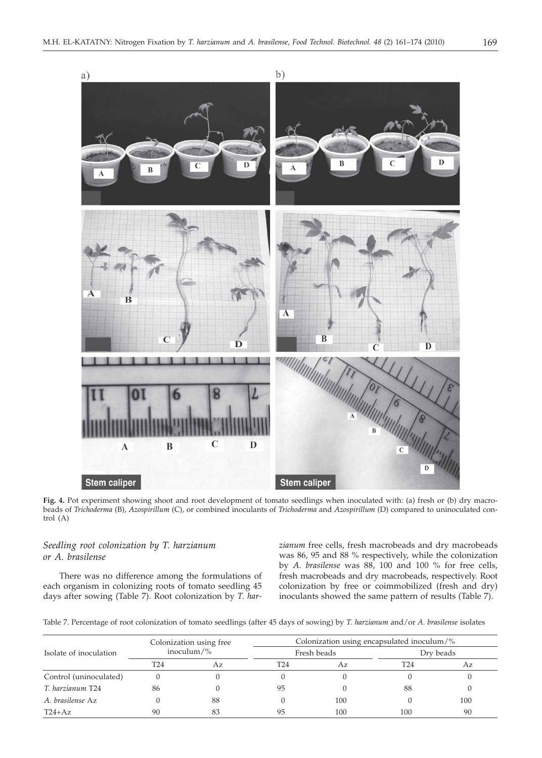

**Fig. 4.** Pot experiment showing shoot and root development of tomato seedlings when inoculated with: (a) fresh or (b) dry macrobeads of *Trichoderma* (B), *Azospirillum* (C)*,* or combined inoculants of *Trichoderma* and *Azospirillum* (D) compared to uninoculated control (A)

# *Seedling root colonization by T. harzianum or A. brasilense*

There was no difference among the formulations of each organism in colonizing roots of tomato seedling 45 days after sowing (Table 7). Root colonization by *T. har-* *zianum* free cells, fresh macrobeads and dry macrobeads was 86, 95 and 88 % respectively, while the colonization by *A. brasilense* was 88, 100 and 100 % for free cells, fresh macrobeads and dry macrobeads, respectively. Root colonization by free or coimmobilized (fresh and dry) inoculants showed the same pattern of results (Table 7).

Table 7. Percentage of root colonization of tomato seedlings (after 45 days of sowing) by *T. harzianum* and/or *A. brasilense* isolates

|                        | Colonization using free<br>inoculum/ $\%$ |    | Colonization using encapsulated inoculum/% |             |           |     |  |  |
|------------------------|-------------------------------------------|----|--------------------------------------------|-------------|-----------|-----|--|--|
| Isolate of inoculation |                                           |    |                                            | Fresh beads | Dry beads |     |  |  |
|                        | T24                                       | Az | T24                                        | Az          | T24       | Az  |  |  |
| Control (uninoculated) |                                           |    |                                            |             |           |     |  |  |
| T. harzianum T24       | 86                                        |    | 95                                         |             | 88        |     |  |  |
| A. brasilense Az       |                                           | 88 |                                            | 100         |           | 100 |  |  |
| $T24+Az$               | 90                                        | 83 | 95                                         | 100         | 100       | 90  |  |  |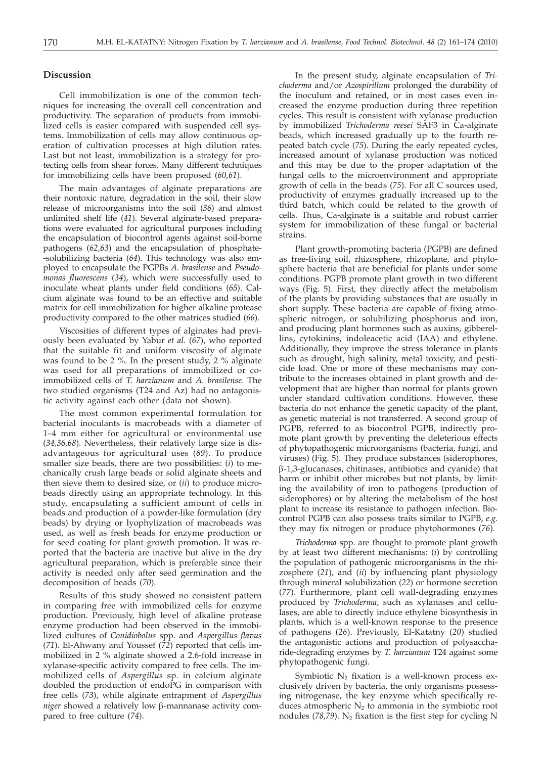#### **Discussion**

Cell immobilization is one of the common techniques for increasing the overall cell concentration and productivity. The separation of products from immobilized cells is easier compared with suspended cell systems. Immobilization of cells may allow continuous operation of cultivation processes at high dilution rates. Last but not least, immobilization is a strategy for protecting cells from shear forces. Many different techniques for immobilizing cells have been proposed (*60,61*).

The main advantages of alginate preparations are their nontoxic nature, degradation in the soil, their slow release of microorganisms into the soil (*36*) and almost unlimited shelf life (*41*). Several alginate-based preparations were evaluated for agricultural purposes including the encapsulation of biocontrol agents against soil-borne pathogens (*62,63*) and the encapsulation of phosphate- -solubilizing bacteria (*64*). This technology was also employed to encapsulate the PGPBs *A*. *brasilense* and *Pseudomonas fluorescens* (*34*), which were successfully used to inoculate wheat plants under field conditions (*65*). Calcium alginate was found to be an effective and suitable matrix for cell immobilization for higher alkaline protease productivity compared to the other matrices studied (*66*).

Viscosities of different types of alginates had previously been evaluated by Yabur *et al.* (*67*), who reported that the suitable fit and uniform viscosity of alginate was found to be 2 %. In the present study, 2 % alginate was used for all preparations of immobilized or coimmobilized cells of *T. harzianum* and *A. brasilense*. The two studied organisms (T24 and Az) had no antagonistic activity against each other (data not shown).

The most common experimental formulation for bacterial inoculants is macrobeads with a diameter of 1–4 mm either for agricultural or environmental use (*34,36,68*). Nevertheless, their relatively large size is disadvantageous for agricultural uses (*69*). To produce smaller size beads, there are two possibilities: (*i*) to mechanically crush large beads or solid alginate sheets and then sieve them to desired size, or (*ii*) to produce microbeads directly using an appropriate technology. In this study, encapsulating a sufficient amount of cells in beads and production of a powder-like formulation (dry beads) by drying or lyophylization of macrobeads was used, as well as fresh beads for enzyme production or for seed coating for plant growth promotion. It was reported that the bacteria are inactive but alive in the dry agricultural preparation, which is preferable since their activity is needed only after seed germination and the decomposition of beads (*70*).

Results of this study showed no consistent pattern in comparing free with immobilized cells for enzyme production. Previously, high level of alkaline protease enzyme production had been observed in the immobilized cultures of *Conidiobolus* spp. and *Aspergillus flavus* (*71*). El-Ahwany and Youssef (*72*) reported that cells immobilized in 2 % alginate showed a 2.6-fold increase in xylanase-specific activity compared to free cells. The immobilized cells of *Aspergillus* sp. in calcium alginate doubled the production of endoPG in comparison with free cells (*73*), while alginate entrapment of *Aspergillus niger* showed a relatively low β-mannanase activity compared to free culture (*74*).

In the present study, alginate encapsulation of *Trichoderma* and/or *Azospirillum* prolonged the durability of the inoculum and retained, or in most cases even increased the enzyme production during three repetition cycles. This result is consistent with xylanase production by immobilized *Trichoderma reesei* SAF3 in Ca-alginate beads, which increased gradually up to the fourth repeated batch cycle (*75*). During the early repeated cycles, increased amount of xylanase production was noticed and this may be due to the proper adaptation of the fungal cells to the microenvironment and appropriate growth of cells in the beads (*75*). For all C sources used, productivity of enzymes gradually increased up to the third batch, which could be related to the growth of cells. Thus, Ca-alginate is a suitable and robust carrier system for immobilization of these fungal or bacterial strains.

Plant growth-promoting bacteria (PGPB) are defined as free-living soil, rhizosphere, rhizoplane, and phylosphere bacteria that are beneficial for plants under some conditions. PGPB promote plant growth in two different ways (Fig. 5). First, they directly affect the metabolism of the plants by providing substances that are usually in short supply. These bacteria are capable of fixing atmospheric nitrogen, or solubilizing phosphorus and iron, and producing plant hormones such as auxins, gibberellins, cytokinins, indoleacetic acid (IAA) and ethylene. Additionally, they improve the stress tolerance in plants such as drought, high salinity, metal toxicity, and pesticide load. One or more of these mechanisms may contribute to the increases obtained in plant growth and development that are higher than normal for plants grown under standard cultivation conditions. However, these bacteria do not enhance the genetic capacity of the plant, as genetic material is not transferred. A second group of PGPB, referred to as biocontrol PGPB, indirectly promote plant growth by preventing the deleterious effects of phytopathogenic microorganisms (bacteria, fungi, and viruses) (Fig. 5). They produce substances (siderophores, b-1,3-glucanases, chitinases, antibiotics and cyanide) that harm or inhibit other microbes but not plants, by limiting the availability of iron to pathogens (production of siderophores) or by altering the metabolism of the host plant to increase its resistance to pathogen infection. Biocontrol PGPB can also possess traits similar to PGPB, *e.g.* they may fix nitrogen or produce phytohormones (*76*).

*Trichoderma* spp. are thought to promote plant growth by at least two different mechanisms: (*i*) by controlling the population of pathogenic microorganisms in the rhizosphere (*21*), and (*ii*) by influencing plant physiology through mineral solubilization (*22*) or hormone secretion (*77*). Furthermore, plant cell wall-degrading enzymes produced by *Trichoderma*, such as xylanases and cellulases, are able to directly induce ethylene biosynthesis in plants, which is a well-known response to the presence of pathogens (*26*). Previously, El-Katatny (*20*) studied the antagonistic actions and production of polysaccharide-degrading enzymes by *T. harzianum* T24 against some phytopathogenic fungi.

Symbiotic  $N_2$  fixation is a well-known process exclusively driven by bacteria, the only organisms possessing nitrogenase, the key enzyme which specifically reduces atmospheric  $N_2$  to ammonia in the symbiotic root nodules  $(78,79)$ . N<sub>2</sub> fixation is the first step for cycling N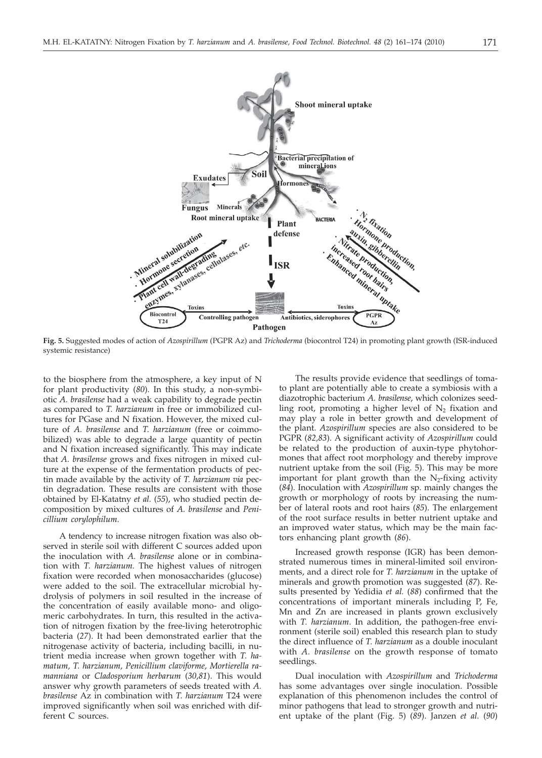

**Fig. 5.** Suggested modes of action of *Azospirillum* (PGPR Az) and *Trichoderma* (biocontrol T24) in promoting plant growth (ISR-induced systemic resistance)

to the biosphere from the atmosphere, a key input of N for plant productivity (*80*). In this study, a non-symbiotic *A. brasilense* had a weak capability to degrade pectin as compared to *T. harzianum* in free or immobilized cultures for PGase and N fixation. However, the mixed culture of *A. brasilense* and *T. harzianum* (free or coimmobilized) was able to degrade a large quantity of pectin and N fixation increased significantly. This may indicate that *A. brasilense* grows and fixes nitrogen in mixed culture at the expense of the fermentation products of pectin made available by the activity of *T. harzianum via* pectin degradation. These results are consistent with those obtained by El-Katatny *et al.* (*55*), who studied pectin decomposition by mixed cultures of *A. brasilense* and *Penicillium corylophilum*.

A tendency to increase nitrogen fixation was also observed in sterile soil with different C sources added upon the inoculation with *A. brasilense* alone or in combination with *T. harzianum.* The highest values of nitrogen fixation were recorded when monosaccharides (glucose) were added to the soil. The extracellular microbial hydrolysis of polymers in soil resulted in the increase of the concentration of easily available mono- and oligomeric carbohydrates. In turn, this resulted in the activation of nitrogen fixation by the free-living heterotrophic bacteria (*27*). It had been demonstrated earlier that the nitrogenase activity of bacteria, including bacilli, in nutrient media increase when grown together with *T. hamatum, T. harzianum, Penicillium claviforme, Mortierella ramanniana* or *Cladosporium herbarum* (*30,81*). This would answer why growth parameters of seeds treated with *A. brasilense* Az in combination with *T. harzianum* T24 were improved significantly when soil was enriched with different C sources.

The results provide evidence that seedlings of tomato plant are potentially able to create a symbiosis with a diazotrophic bacterium *A. brasilense*, which colonizes seedling root, promoting a higher level of  $N_2$  fixation and may play a role in better growth and development of the plant. *Azospirillum* species are also considered to be PGPR (*82,83*). A significant activity of *Azospirillum* could be related to the production of auxin-type phytohormones that affect root morphology and thereby improve nutrient uptake from the soil (Fig. 5). This may be more important for plant growth than the  $N_2$ -fixing activity (*84*). Inoculation with *Azospirillum* sp. mainly changes the growth or morphology of roots by increasing the number of lateral roots and root hairs (*85*). The enlargement of the root surface results in better nutrient uptake and an improved water status, which may be the main factors enhancing plant growth (*86*).

Increased growth response (IGR) has been demonstrated numerous times in mineral-limited soil environments, and a direct role for *T. harzianum* in the uptake of minerals and growth promotion was suggested (*87*). Results presented by Yedidia *et al.* (*88*) confirmed that the concentrations of important minerals including P, Fe, Mn and Zn are increased in plants grown exclusively with *T. harzianum*. In addition, the pathogen-free environment (sterile soil) enabled this research plan to study the direct influence of *T. harzianum* as a double inoculant with *A. brasilense* on the growth response of tomato seedlings.

Dual inoculation with *Azospirillum* and *Trichoderma* has some advantages over single inoculation. Possible explanation of this phenomenon includes the control of minor pathogens that lead to stronger growth and nutrient uptake of the plant (Fig. 5) (*89*). Janzen *et al.* (*90*)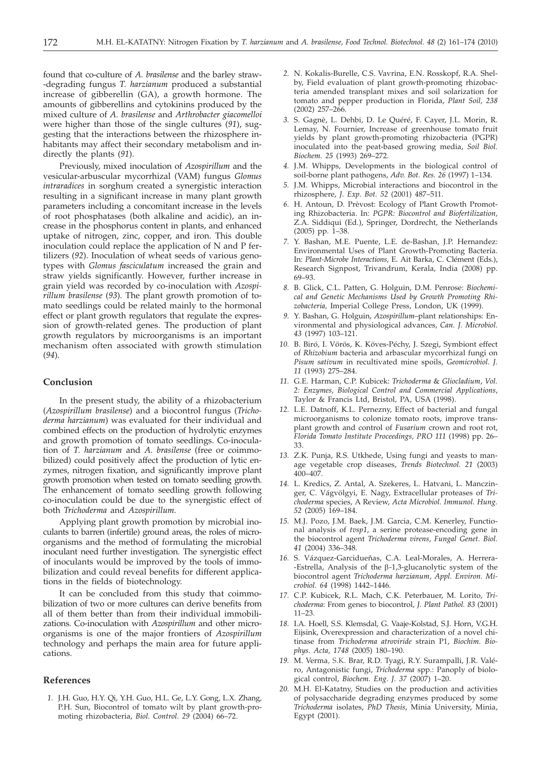found that co-culture of *A. brasilense* and the barley straw- -degrading fungus *T. harzianum* produced a substantial increase of gibberellin (GA), a growth hormone. The amounts of gibberellins and cytokinins produced by the mixed culture of *A. brasilense* and *Arthrobacter giacomelloi* were higher than those of the single cultures (*91*), suggesting that the interactions between the rhizosphere inhabitants may affect their secondary metabolism and indirectly the plants (*91*).

Previously, mixed inoculation of *Azospirillum* and the vesicular-arbuscular mycorrhizal (VAM) fungus *Glomus intraradices* in sorghum created a synergistic interaction resulting in a significant increase in many plant growth parameters including a concomitant increase in the levels of root phosphatases (both alkaline and acidic), an increase in the phosphorus content in plants, and enhanced uptake of nitrogen, zinc, copper, and iron. This double inoculation could replace the application of N and P fertilizers (*92*). Inoculation of wheat seeds of various genotypes with *Glomus fasciculatum* increased the grain and straw yields significantly. However, further increase in grain yield was recorded by co-inoculation with *Azospirillum brasilense* (*93*). The plant growth promotion of tomato seedlings could be related mainly to the hormonal effect or plant growth regulators that regulate the expression of growth-related genes. The production of plant growth regulators by microorganisms is an important mechanism often associated with growth stimulation (*94*).

## **Conclusion**

In the present study, the ability of a rhizobacterium (*Azospirillum brasilense*) and a biocontrol fungus (*Trichoderma harzianum*) was evaluated for their individual and combined effects on the production of hydrolytic enzymes and growth promotion of tomato seedlings. Co-inoculation of *T. harzianum* and *A. brasilense* (free or coimmobilized) could positively affect the production of lytic enzymes, nitrogen fixation, and significantly improve plant growth promotion when tested on tomato seedling growth. The enhancement of tomato seedling growth following co-inoculation could be due to the synergistic effect of both *Trichoderma* and *Azospirillum.*

Applying plant growth promotion by microbial inoculants to barren (infertile) ground areas, the roles of microorganisms and the method of formulating the microbial inoculant need further investigation. The synergistic effect of inoculants would be improved by the tools of immobilization and could reveal benefits for different applications in the fields of biotechnology.

It can be concluded from this study that coimmobilization of two or more cultures can derive benefits from all of them better than from their individual immobilizations. Co-inoculation with *Azospirillum* and other microorganisms is one of the major frontiers of *Azospirillum* technology and perhaps the main area for future applications.

## **References**

*1.* J.H. Guo, H.Y. Qi, Y.H. Guo, H.L. Ge, L.Y. Gong, L.X. Zhang, P.H. Sun, Biocontrol of tomato wilt by plant growth-promoting rhizobacteria, *Biol. Control. 29* (2004) 66–72.

- *2.* N. Kokalis-Burelle, C.S. Vavrina, E.N. Rosskopf, R.A. Shelby, Field evaluation of plant growth-promoting rhizobacteria amended transplant mixes and soil solarization for tomato and pepper production in Florida, *Plant Soil, 238* (2002) 257–266.
- *3.* S. Gagnè, L. Dehbi, D. Le Quéré, F. Cayer, J.L. Morin, R. Lemay, N. Fournier, Increase of greenhouse tomato fruit yields by plant growth-promoting rhizobacteria (PGPR) inoculated into the peat-based growing media, *Soil Biol. Biochem. 25* (1993) 269–272.
- *4.* J.M. Whipps, Developments in the biological control of soil-borne plant pathogens, *Adv. Bot. Res. 26* (1997) 1–134.
- *5.* J.M. Whipps, Microbial interactions and biocontrol in the rhizosphere, *J. Exp. Bot. 52* (2001) 487–511.
- *6.* H. Antoun, D. Prèvost: Ecology of Plant Growth Promoting Rhizobacteria. In: *PGPR: Biocontrol and Biofertilization,* Z.A. Siddiqui (Ed.), Springer, Dordrecht, the Netherlands (2005) pp. 1–38.
- *7.* Y. Bashan, M.E. Puente, L.E. de-Bashan, J.P. Hernandez: Environmental Uses of Plant Growth-Promoting Bacteria. In: *Plant-Microbe Interactions,* E. Ait Barka, C. Clément (Eds.), Research Signpost, Trivandrum, Kerala, India (2008) pp. 69–93.
- *8.* B. Glick, C.L. Patten, G. Holguin, D.M. Penrose: *Biochemical and Genetic Mechanisms Used by Growth Promoting Rhizobacteria,* Imperial College Press, London, UK (1999).
- *9.* Y. Bashan, G. Holguin, *Azospirillum*–plant relationships: Environmental and physiological advances, *Can. J. Microbiol. 43* (1997) 103–121.
- *10.* B. Biró, I. Vörös, K. Köves-Péchy, J. Szegi, Symbiont effect of *Rhizobium* bacteria and arbascular mycorrhizal fungi on *Pisum sativum* in recultivated mine spoils, *Geomicrobiol. J. 11* (1993) 275–284.
- *11.* G.E. Harman, C.P. Kubicek: *Trichoderma* & *Gliocladium*, *Vol. 2: Enzymes, Biological Control and Commercial Applications*, Taylor & Francis Ltd, Bristol, PA, USA (1998).
- *12.* L.E. Datnoff, K.L. Pernezny, Effect of bacterial and fungal microorganisms to colonize tomato roots, improve transplant growth and control of *Fusarium* crown and root rot, *Florida Tomato Institute Proceedings, PRO 111* (1998) pp. 26– 33.
- *13.* Z.K. Punja, R.S. Utkhede, Using fungi and yeasts to manage vegetable crop diseases, *Trends Biotechnol. 21* (2003) 400–407.
- *14.* L. Kredics, Z. Antal, A. Szekeres, L. Hatvani, L. Manczinger, C. Vágvölgyi, E. Nagy, Extracellular proteases of *Trichoderma* species, A Review, *Acta Microbiol. Immunol. Hung. 52* (2005) 169–184.
- *15.* M.J. Pozo, J.M. Baek, J.M. Garcia, C.M. Kenerley, Functional analysis of *tvsp1*, a serine protease-encoding gene in the biocontrol agent *Trichoderma virens*, *Fungal Genet. Biol. 41* (2004) 336–348.
- *16.* S. Vázquez-Garcidueñas, C.A. Leal-Morales, A. Herrera- -Estrella, Analysis of the  $\beta$ -1,3-glucanolytic system of the biocontrol agent *Trichoderma harzianum*, *Appl. Environ. Microbiol. 64* (1998) 1442–1446.
- *17.* C.P. Kubicek, R.L. Mach, C.K. Peterbauer, M. Lorito, *Trichoderma*: From genes to biocontrol, *J. Plant Pathol. 83* (2001) 11–23.
- *18.* I.A. Hoell, S.S. Klemsdal, G. Vaaje-Kolstad, S.J. Horn, V.G.H. Eijsink, Overexpression and characterization of a novel chitinase from *Trichoderma atroviride* strain P1, *Biochim. Biophys. Acta, 1748* (2005) 180–190.
- *19.* M. Verma, S.K. Brar, R.D. Tyagi, R.Y. Surampalli, J.R. Valéro, Antagonistic fungi, *Trichoderma* spp.: Panoply of biological control, *Biochem. Eng. J. 37* (2007) 1–20.
- *20.* M.H. El-Katatny, Studies on the production and activities of polysaccharide degrading enzymes produced by some *Trichoderma* isolates, *PhD Thesis*, Minia University, Minia, Egypt (2001).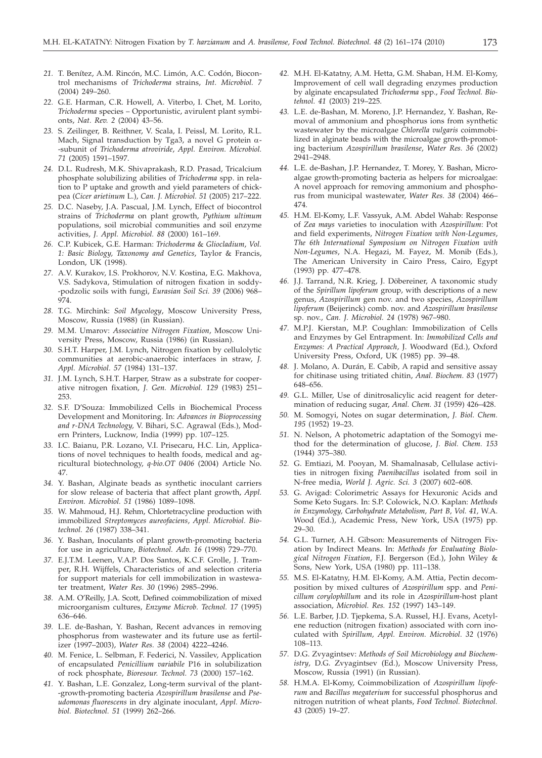- *21.* T. Benítez, A.M. Rincón, M.C. Limón, A.C. Codón, Biocontrol mechanisms of *Trichoderma* strains, *Int. Microbiol. 7* (2004) 249–260.
- *22.* G.E. Harman, C.R. Howell, A. Viterbo, I. Chet, M. Lorito, *Trichoderma* species – Opportunistic, avirulent plant symbionts, *Nat. Rev. 2* (2004) 43–56.
- *23.* S. Zeilinger, B. Reithner, V. Scala, I. Peissl, M. Lorito, R.L. Mach, Signal transduction by Tga3, a novel G protein  $\alpha$ --subunit of *Trichoderma atroviride*, *Appl. Environ. Microbiol. 71* (2005) 1591–1597.
- *24.* D.L. Rudresh, M.K. Shivaprakash, R.D. Prasad, Tricalcium phosphate solubilizing abilities of *Trichoderma* spp. in relation to P uptake and growth and yield parameters of chickpea (*Cicer arietinum* L.), *Can. J. Microbiol. 51* (2005) 217–222.
- *25.* D.C. Naseby, J.A. Pascual, J.M. Lynch, Effect of biocontrol strains of *Trichoderma* on plant growth, *Pythium ultimum* populations, soil microbial communities and soil enzyme activities, *J. Appl. Microbiol. 88* (2000) 161–169.
- *26.* C.P. Kubicek, G.E. Harman: *Trichoderma* & *Gliocladium*, *Vol. 1: Basic Biology, Taxonomy and Genetics*, Taylor & Francis, London, UK (1998).
- *27.* A.V. Kurakov, I.S. Prokhorov, N.V. Kostina, E.G. Makhova, V.S. Sadykova, Stimulation of nitrogen fixation in soddy- -podzolic soils with fungi, *Eurasian Soil Sci. 39* (2006) 968– 974.
- *28.* T.G. Mirchink: *Soil Mycology*, Moscow University Press, Moscow, Russia (1988) (in Russian).
- *29.* M.M. Umarov: *Associative Nitrogen Fixation*, Moscow University Press, Moscow, Russia (1986) (in Russian).
- *30.* S.H.T. Harper, J.M. Lynch, Nitrogen fixation by cellulolytic communities at aerobic-anaerobic interfaces in straw, *J. Appl. Microbiol. 57* (1984) 131–137.
- *31.* J.M. Lynch, S.H.T. Harper, Straw as a substrate for cooperative nitrogen fixation, *J. Gen. Microbiol. 129* (1983) 251– 253.
- *32.* S.F. D'Souza: Immobilized Cells in Biochemical Process Development and Monitoring. In: *Advances in Bioprocessing and r-DNA Technology,* V. Bihari, S.C. Agrawal (Eds.), Modern Printers, Lucknow, India (1999) pp. 107–125.
- *33.* I.C. Baianu, P.R. Lozano, V.I. Prisecaru, H.C. Lin, Applications of novel techniques to health foods, medical and agricultural biotechnology, *q-bio.OT 0406* (2004) Article No. 47.
- *34.* Y. Bashan, Alginate beads as synthetic inoculant carriers for slow release of bacteria that affect plant growth, *Appl. Environ. Microbiol. 51* (1986) 1089–1098.
- *35.* W. Mahmoud, H.J. Rehm, Chlortetracycline production with immobilized *Streptomyces aureofaciens*, *Appl. Microbiol. Biotechnol. 26* (1987) 338–341.
- *36.* Y. Bashan, Inoculants of plant growth-promoting bacteria for use in agriculture, *Biotechnol. Adv. 16* (1998) 729–770.
- *37.* E.J.T.M. Leenen, V.A.P. Dos Santos, K.C.F. Grolle, J. Tramper, R.H. Wijffels, Characteristics of and selection criteria for support materials for cell immobilization in wastewater treatment, *Water Res. 30* (1996) 2985–2996.
- *38.* A.M. O'Reilly, J.A. Scott, Defined coimmobilization of mixed microorganism cultures, *Enzyme Microb. Technol. 17* (1995) 636–646.
- *39.* L.E. de-Bashan, Y. Bashan, Recent advances in removing phosphorus from wastewater and its future use as fertilizer (1997–2003), *Water Res. 38* (2004) 4222–4246.
- *40.* M. Fenice, L. Selbman, F. Federici, N. Vassilev, Application of encapsulated *Penicillium variabile* P16 in solubilization of rock phosphate, *Bioresour. Technol. 73* (2000) 157–162.
- *41.* Y. Bashan, L.E. Gonzalez, Long-term survival of the plant- -growth-promoting bacteria *Azospirillum brasilense* and *Pseudomonas fluorescens* in dry alginate inoculant, *Appl. Microbiol. Biotechnol. 51* (1999) 262–266.
- *42.* M.H. El-Katatny, A.M. Hetta, G.M. Shaban, H.M. El-Komy, Improvement of cell wall degrading enzymes production by alginate encapsulated *Trichoderma* spp., *Food Technol. Biotehnol. 41* (2003) 219–225.
- *43.* L.E. de-Bashan, M. Moreno, J.P. Hernandez, Y. Bashan, Removal of ammonium and phosphorus ions from synthetic wastewater by the microalgae *Chlorella vulgaris* coimmobilized in alginate beads with the microalgae growth-promoting bacterium *Azospirillum brasilense*, *Water Res. 36* (2002) 2941–2948.
- *44.* L.E. de-Bashan, J.P. Hernandez, T. Morey, Y. Bashan, Microalgae growth-promoting bacteria as helpers for microalgae: A novel approach for removing ammonium and phosphorus from municipal wastewater, *Water Res. 38* (2004) 466– 474.
- *45.* H.M. El-Komy, L.F. Vassyuk, A.M. Abdel Wahab: Response of *Zea mays* varieties to inoculation with *Azospirillum*: Pot and field experiments, *Nitrogen Fixation with Non-Legumes*, *The 6th International Symposium on Nitrogen Fixation with Non-Legumes*, N.A. Hegazi, M. Fayez, M. Monib (Eds.), The American University in Cairo Press, Cairo, Egypt (1993) pp. 477–478.
- *46.* J.J. Tarrand, N.R. Krieg, J. Döbereiner, A taxonomic study of the *Spirillum lipoferum* group, with descriptions of a new genus, *Azospirillum* gen nov. and two species, *Azospirillum lipoferum* (Beijerinck) comb. nov. and *Azospirillum brasilense* sp. nov., *Can. J. Microbiol. 24* (1978) 967–980.
- *47.* M.P.J. Kierstan, M.P. Coughlan: Immobilization of Cells and Enzymes by Gel Entrapment. In: *Immobilized Cells and Enzymes: A Practical Approach*, J. Woodward (Ed.), Oxford University Press, Oxford, UK (1985) pp. 39–48.
- *48.* J. Molano, A. Durán, E. Cabib, A rapid and sensitive assay for chitinase using tritiated chitin, *Anal. Biochem. 83* (1977) 648–656.
- *49.* G.L. Miller, Use of dinitrosalicylic acid reagent for determination of reducing sugar, *Anal. Chem. 31* (1959) 426–428.
- *50.* M. Somogyi, Notes on sugar determination, *J. Biol. Chem. 195* (1952) 19–23.
- *51.* N. Nelson, A photometric adaptation of the Somogyi method for the determination of glucose, *J. Biol. Chem. 153* (1944) 375–380.
- *52.* G. Emtiazi, M. Pooyan, M. Shamalnasab, Cellulase activities in nitrogen fixing *Paenibacillus* isolated from soil in N-free media, *World J. Agric. Sci. 3* (2007) 602–608.
- *53.* G. Avigad: Colorimetric Assays for Hexuronic Acids and Some Keto Sugars. In: S.P. Colowick, N.O. Kaplan: *Methods in Enzymology, Carbohydrate Metabolism, Part B, Vol. 41,* W.A. Wood (Ed.), Academic Press, New York, USA (1975) pp. 29–30.
- *54.* G.L. Turner, A.H. Gibson: Measurements of Nitrogen Fixation by Indirect Means. In: *Methods for Evaluating Biological Nitrogen Fixation*, F.J. Bergerson (Ed.), John Wiley & Sons, New York, USA (1980) pp. 111–138.
- *55.* M.S. El-Katatny, H.M. El-Komy, A.M. Attia, Pectin decomposition by mixed cultures of *Azospirillum* spp. and *Penicillum corylophillum* and its role in *Azospirillum*-host plant association, *Microbiol. Res. 152* (1997) 143–149.
- *56.* L.E. Barber, J.D. Tjepkema, S.A. Russel, H.J. Evans, Acetylene reduction (nitrogen fixation) associated with corn inoculated with *Spirillum, Appl. Environ. Microbiol. 32* (1976) 108–113.
- *57.* D.G. Zvyagintsev: *Methods of Soil Microbiology and Biochemistry*, D.G. Zvyagintsev (Ed.), Moscow University Press, Moscow, Russia (1991) (in Russian).
- *58.* H.M.A. El-Komy, Coimmobilization of *Azospirillum lipoferum* and *Bacillus megaterium* for successful phosphorus and nitrogen nutrition of wheat plants, *Food Technol. Biotechnol. 43* (2005) 19–27.